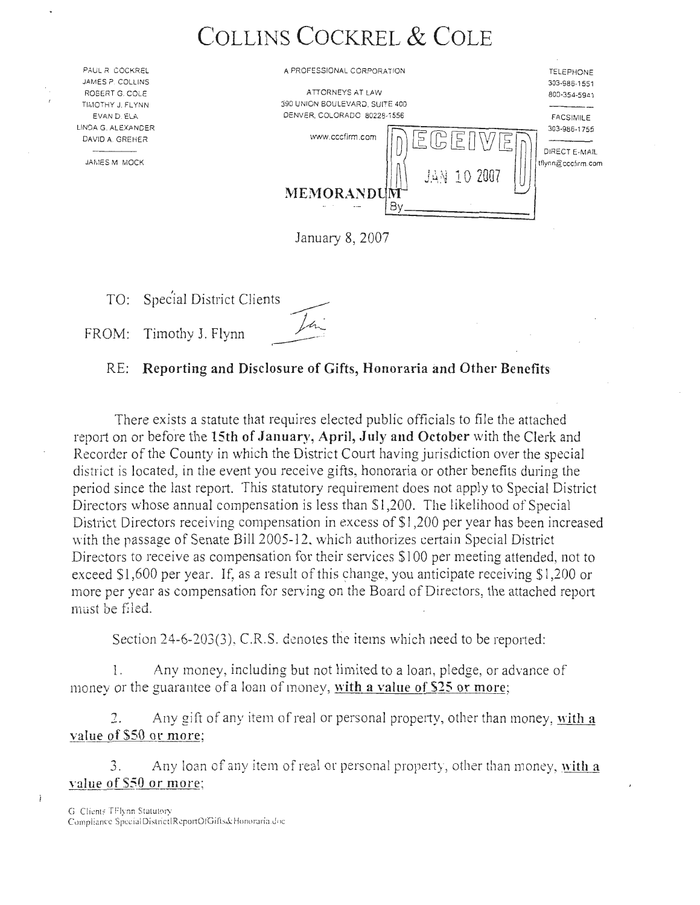# **COLLINS COCKREL & COLE**

| PAUL R COCKREL                      | A PROFESSIONAL CORPORATION     | <b>TELEPHONE</b>              |
|-------------------------------------|--------------------------------|-------------------------------|
| JAMES P. COLLINS                    |                                | 303-986-1551                  |
| ROBERT G. COLE                      | ATTORNEYS AT LAW               | 800-354-5941                  |
| TIMOTHY J. FLYNN                    | 390 UNION BOULEVARD, SUITE 400 |                               |
| EVAN D. ELA                         | DENVER, COLORADO 80228-1556    | <b>FACSIMILE</b>              |
| NOA G. ALEXANDER<br>DAVID A. GREHER | www.cccfirm.com                | 303-986-1755<br>DIRECT E-MAIL |
| JAMES M MOCK                        | JAN 10 2007                    | tflynn@cccfirm.com            |
|                                     | MEMORANDUM                     |                               |
|                                     | By                             |                               |
|                                     | January 8, 2007                |                               |
|                                     |                                |                               |

TO: Spec'ial District Clients TO: Special District Clients

LINC

# RE: **Reporting and Disclosure of Gifts, Honoraria and Other Benefits**

There exists a statute that requires elected public officials to file the attached report on or before the 15th of January, April, July and October with the Clerk and Recorder of the County in which the District Court having jurisdiction over the special district is located, in the event you receive gifts, honoraria or other benefits during the period since the last report. This statutory requirement does not apply to Special District Directors whose annual compensation is less than \$1,200. The likelihood of Special District Directors receiving compensation in excess of \$1,200 per year has been increased with the passage of Senate Bill 2005-12. which authorizes certain Special District Directors to receive as compensation for their services \$100 per meeting attended, not to exceed  $$1,600$  per year. If, as a result of this change, you anticipate receiving  $$1,200$  or more per year as compensation for serving on the Board of Directors, the attached report must be filed.

Section 24-6-203(3), C.R.S. denotes the items which need to be reported:

1. Any money, including but not limited to a loan, pledge, or advance of money or the guarantee of a loan of money, **with a value of \$25 or more;** 

2. Any gift of any item of real or personal property, other than money, with a **value of \$50 Qr more;** 

3. Any loan of any item of real or personal property, other than money, with a **value of S50 or more;**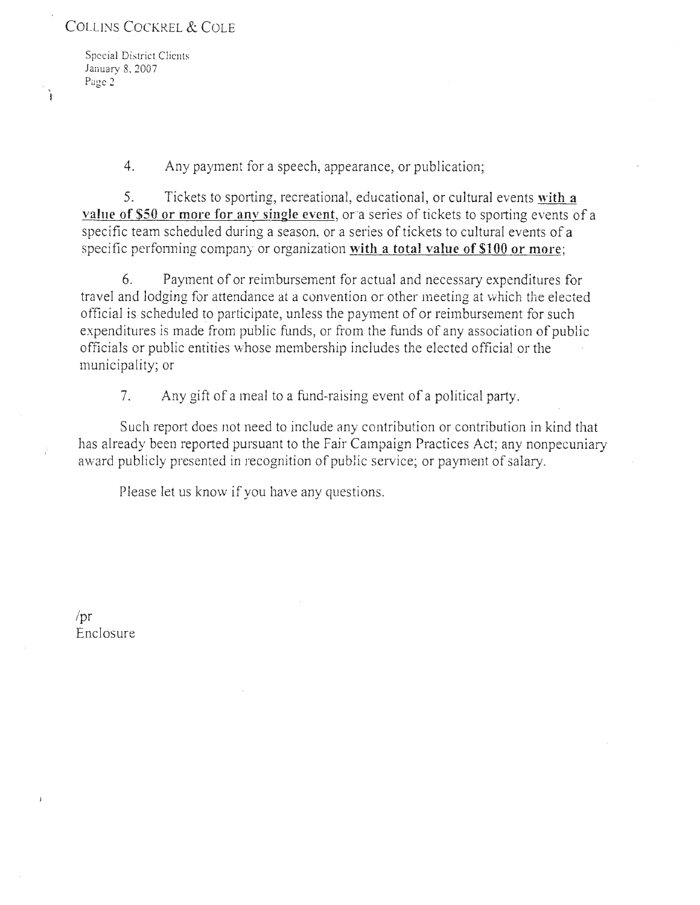## COLLINS COCKREL & COLE

Special District Clients January 8. *2007*  **Page** *2* 

4. Any payment for a speech, appearance, or publication;

5. Tickets to sporting, recreational, educational, or cultural events **with a value of \$50 or more for any single event, or a series of tickets to sporting events of a** specific team scheduled during a season, or a series of tickets to cultural events of a specific performing company or organization with a total value of \$100 or more;

6. Payment of or reimbursement for actual and necessary expenditures for travel and lodging for attendance at a convention or other meeting at which the elected official is scheduled to participate, unless the payment of or reimbursement for such expenditures is made from public funds, or from the funds of any association of public officials or public entities \\·hose membership includes the elected official or the municipality; or

7. Any gift of a meal to a fund-raising event of a political party.

Such report does not need to include any contribution or contribution in kind that has already been reported pursuant to the Fair Campaign Practices Act; any nonpecuniary award publicly presented in recognition of public service; or payment of salary.

Please let us know if you have any questions.

/pr Enclosure

)<br>)

ì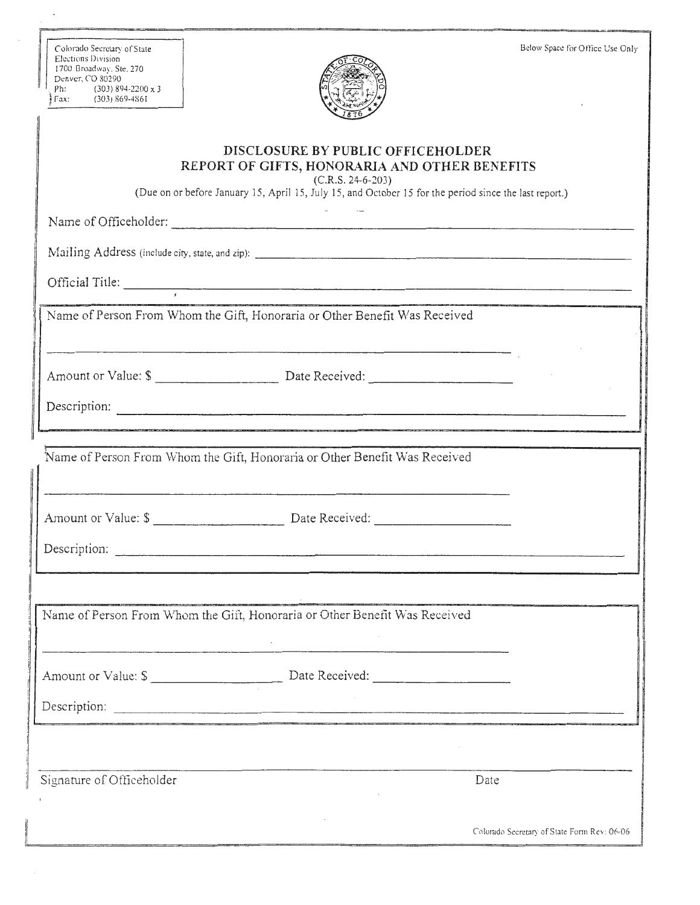| Colorado Secretary of State<br>Elections Division<br>1700 Broadway, Ste. 270<br>Denver, CO 80290<br>Ph:<br>$(303)$ 894-2200 x 3<br>$\sqrt{303}$ 869-4861                                                            | Below Space for Office Use Only             |
|---------------------------------------------------------------------------------------------------------------------------------------------------------------------------------------------------------------------|---------------------------------------------|
| DISCLOSURE BY PUBLIC OFFICEHOLDER<br>REPORT OF GIFTS, HONORARIA AND OTHER BENEFITS<br>$(C.R.S. 24-6-203)$<br>(Due on or before January 15, April 15, July 15, and October 15 for the period since the last report.) |                                             |
|                                                                                                                                                                                                                     |                                             |
|                                                                                                                                                                                                                     |                                             |
|                                                                                                                                                                                                                     |                                             |
| Name of Person From Whom the Gift, Honoraria or Other Benefit Was Received                                                                                                                                          |                                             |
|                                                                                                                                                                                                                     |                                             |
| Name of Person From Whom the Gift, Honoraria or Other Benefit Was Received                                                                                                                                          |                                             |
|                                                                                                                                                                                                                     |                                             |
| Name of Person From Whom the Gift, Honoraria or Other Benefit Was Received                                                                                                                                          |                                             |
|                                                                                                                                                                                                                     |                                             |
|                                                                                                                                                                                                                     |                                             |
| Signature of Officeholder                                                                                                                                                                                           | Date                                        |
| .<br>The company was presented as a series of the company of the company was an experimental and the company of the                                                                                                 | Colorado Secretary of State Form Rev: 06/06 |

l1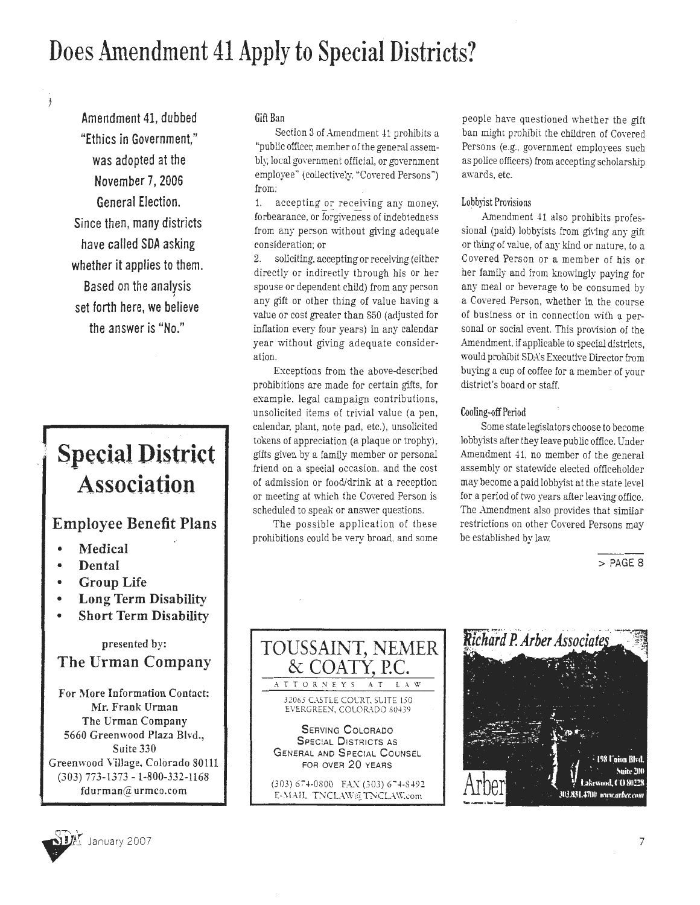# Does Amendment 41 Apply to Special Districts?

Amendment 41, dubbed "Ethics in Government," was adopted at the November 7, 2006 General Election. Since then, many districts have called SDA asking whether it applies to them. Based on the analysis I set forth here, we believe the answer is "No."

# **Special District** Association

# Employee Benefit Plans

- Medical
- **Dental**
- Group Life
- Long Term Disability
- Short Term Disability

presented by:

# The Urman Company

For More Information Contact: Mr. Frank Urman The Urman Company 5660 Greenwood Plaza Blvd., Suite 330 Greenwood Village. Colorado 80111 (303) 773-1373 -1-800-332-1168 fdurman@urmco.com

## Gift Ban

Section 3 of Amendment 41 prohibits a "public officer, member of the general assembly, local government official, or government employee" (collectively. "Covered Persons") from:

1. accepting or receiving any money, forbearance, or forgiveness of indebtedness from any person without giving adequate consideration; or

2. soliciting. accepting or receiving (either directly or indirectly through his or her spouse or dependent child) from any person any gift or other thing of value having a value or cost greater than S50 (adjusted for inflation every four years) in any calendar year without giving adequate consideration.

Exceptions from the above-described prohibitions are made for certain gifts, for example, legal campaign contributions, unsolicited items of trivial value (a pen, calendar. plant, note pad, etc.), unsolicited tokens of appreciation (a plaque or trophy), gifts given by a family member or personal friend on a special occasion, and the cost of admission or food/drink at a reception or meeting at which the Covered Person is scheduled to speak or answer questions.

The possible application of these prohibitions could be very broad. and some people have questioned whether the gift ban might prohibit the children of CoYered Persons (e.g., government employees such as police officers) from accepting scholarship awards, etc.

## Lobbyist Provisions

Amendment 41 also prohibits professional (paid) lobbyists from giving any gift or thing of value, of any kind or nature, to a Covered Person or a member of his or her family and from knowingly paying for any meal or beverage to be consumed by a Covered Person, whether in the course of business or in connection with a personal or social event. This provision of the Amendment. if applicable to special districts, would prohibit SDA's Executh'e Director from buying a cup of coffee for a member of your district's board or staff.

## Cooling-off Period

Some state legislators choose to become lobbyists after they leave public office. Under Amendment 41, no member of the general assembly or statewide elected officeholder may become a paid lobbyist at the state level for a period of two years after leaving office. The Amendment also provides that similar restrictions on other Covered Persons may be established by Jaw.

 $>$  PAGE 8





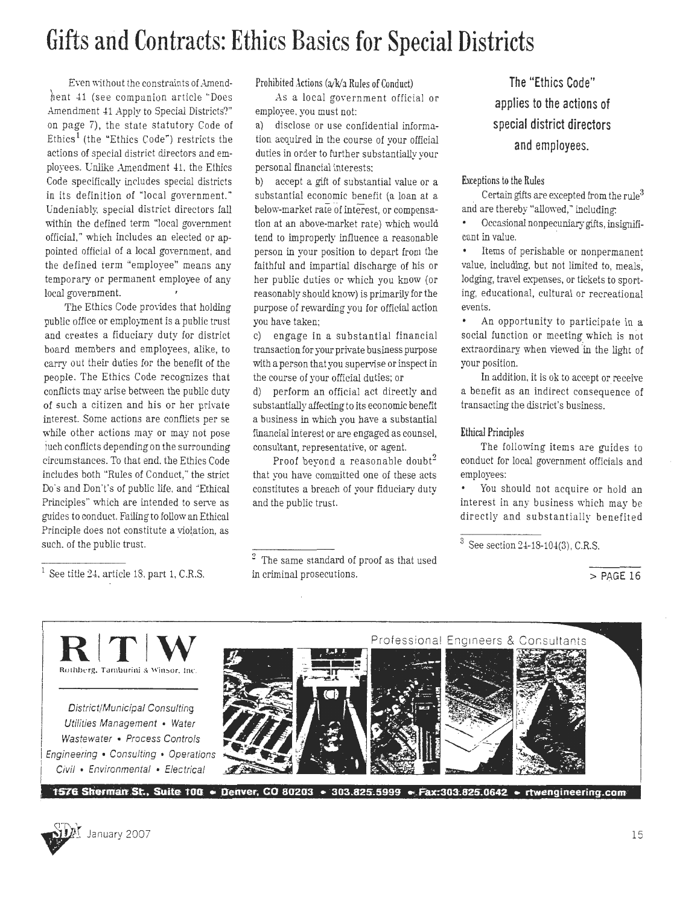# **Gifts and Contracts: Ethics Basics for Special Districts**

Even without the constraints of Amendhent 41 (see companion article "Does Amendment 41 Apply to Special Districts?" on page 7), the state statutory Code of Ethics<sup>1</sup> (the "Ethics Code") restricts the actions of special district directors and employees. Unlike Amendment 41, the Ethics Code specifically includes special districts in its definition of "local government." Undeniably, special district directors fall within the defined term "local government official," which includes an elected or appointed official of a local government, and the defined term "employee" means any temporary or permanent employee of any local government.

The Ethics Code provides that holding public office or employment is a public trust and creates a fiduciary duty for district board members and employees, alike, to carry out their duties for the benefit of the people. The Ethics Code recognizes that conflicts may arise between the public duty of such a citizen and his or her private interest. Some actions are conflicts per se while other actions may or may not pose ) uch conflicts depending on the surrounding circumstances. To that end. the Ethics Code includes both "Rules of Conduct,'' the strict Do's and Don't's of public life, and ·'Ethical Principles" which are intended to serve as guides to conduct. Failing to follow an Ethical Principle does not constitute a violation, as such. of the public trust.

 $<sup>1</sup>$  See title 24, article 18, part 1, C.R.S.</sup>

Prohibited Actions  $(a/k/a)$  Rules of Conduct)

As a local government official or employee. you must not:

a) disclose or use confidential information acquired in the course of your official duties in order to further substantially your personal financial interests:

b) accept a gift of substantial value or a substantial economic benefit (a loan at a below-market rate of interest, or compensation at an above-market rate) which would tend to improperly influence a reasonable person in your position to depart from the faithful and impartial discharge of his or her public duties or which you know (or reasonably should know) is primarily for the purpose of rewarding you for official action you have taken;

c) engage in a substantial financial transaction for your private business purpose with a person that you supervise or inspect in the course of your official duties; or

d) perform an official act directly and substantially affecting to its economic benefit a business in which you have a substantial financial interest or are engaged as counsel, consultant, representative, or agent.

Proof beyond a reasonable doubt<sup>2</sup> that you have committed one of these acts constitutes a breach of your fiduciary duty and the public trust.

2 The same standard of proof as that used in criminal prosecutions.

**The "Ethics Code" applies to the actions of special district directors and employees.** 

E.xceptions to the Rules

Certain gifts are excepted from the rule<sup>3</sup> and are thereby "allowed," including:

Occasional nonpecuniary gifts, insignilicant in value.

Items of perishable or nonpermanent  $\bullet$ value, including, but not limited to, meals, lodging, travel expenses, or tickets to sporting, educational, cultural or recreational events.

An opportunity to participate in a social function or meeting which is not extraordinary when viewed in the light of your position.

In addition, it is ok to accept or receive a benefit as an indirect consequence of transacting the district's business.

#### Ethical Principles

The following items are guides to conduct for local government officials and employees:

You should not acquire or hold an interest in any business which may be directly and substantially benefited

 $3$  See section 24-18-104(3), C.R.S.

 $>$  PAGE 16



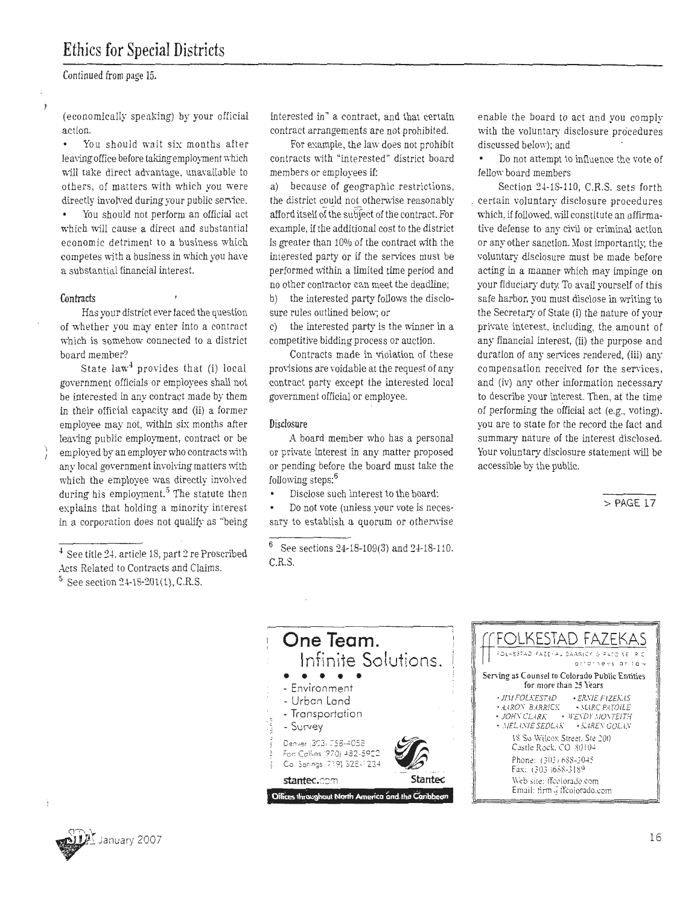# **Ethics for Special Districts**

Continued from page 15.

(economically speaking) by your official action.

You should wait six months after leaving office before taking employment which will take direct advantage, unavailable to others, of matters with which you were directly involved during your public service.

You should not perform an official act which will cause a direct and substantial economic detriment to a business which competes with a business in which you have a substantial financial interest.

#### **Contracts**

Has your district ever faced the question of whether you may enter into a contract which is somehow connected to a district board member?

State  $law<sup>4</sup>$  provides that (i) local government officials or employees shall not be interested in any contract made by them in their official capacity and (ii) a former employee may not, within six months after leaving public employment, contract or be employed by an employer who contracts \\ith any local government involving matters with which the employee was directly involved during his employment.<sup>5</sup> The statute then explains that holding a minority interest in a corporation does not qualify as "being

 $<sup>4</sup>$  See title 24, article 18, part 2 re Proscribed</sup> Acts Related to Contracts and Claims.  $5$  See section 24-18-201(1), C.R.S.

interested in" a contract, and that certain contract arrangements are not prohibited.

For example, the law does not prohibit contracts with "interested" district board members or employees if:

a) because of geographic restrictions, the district could not otherwise reasonably afford itself of the subject of the contract. For example, if the additional cost to the district is greater than 10% of the contract with the interested party or if the services must be performed within a limited time period and no other contractor can meet the deadline;

b) the interested party follows the disclosure rules outlined below; or

c) the interested party is the winner in a competitive bidding process or auction.

Contracts made in violation of these provisions are voidable at the request of any contract party except the interested local government official or employee.

#### Disclosure

A board member who has a personal or private interest in any matter proposed or pending before the board must take the following steps: $^6$ 

Disclose such interest to the board:

Do not vote (unless your vote is necessary to establish a quorum or othernise

 $^6$  See sections  $24\text{-}18\text{-}109(3)$  and  $24\text{-}18\text{-}110.$ C.R.S.

enable the board to act and you comply with the voluntary disclosure procedures discussed below); and

Do not attempt to influence the vote of fellow board members

Section 24-18-110, C.R.S. sets forth , certain voluntary disclosure procedures which, if followed, will constitute an affirmative defense to any civil or criminal action or any other sanction. Most importantly, the voluntary disclosure must be made before acting in a manner which may impinge on your fiduciary duty. To avail yourself of this safe harbor, you must disclose in writing to the Secretary of State (i) the nature of your private interest. including, the amount of any financial interest, (ii) the purpose and duration of any services rendered, (iii) any compensation received for the services, and (iv) any other information necessary to describe your interest. Then, at the time of performing the official act (e.g., voting). you are to state for the record the fact and summary nature of the interest disclosed. Your voluntary disclosure statement will be accessible by the public.

>PAGE 17





**y** 

I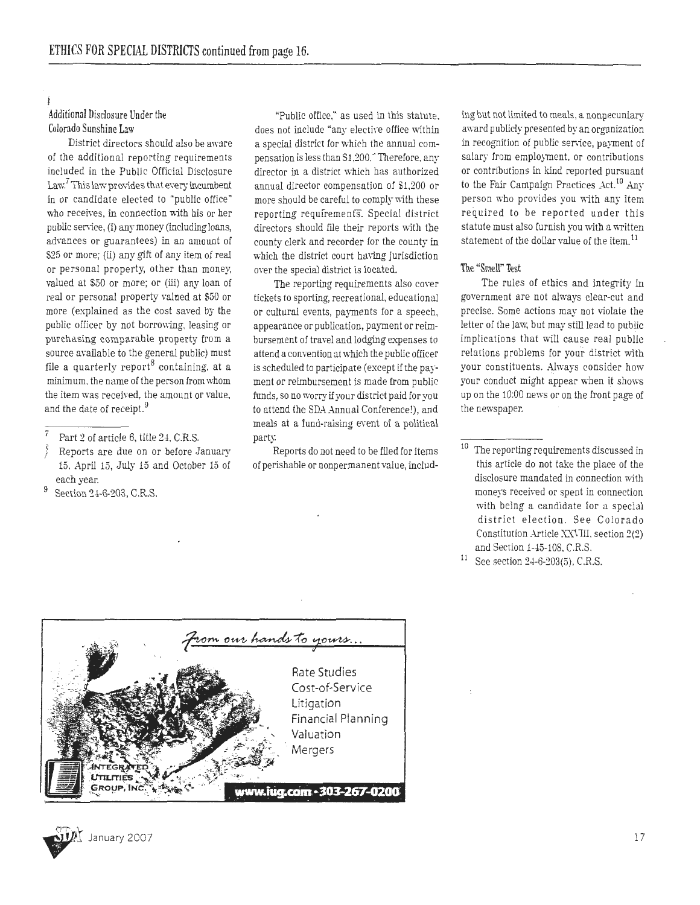## Additional Disclosure Under the Colorado Sunshine Law

District directors should also be aware of the additional reporting requirements included in the Public Official Disclosure Law.<sup>7</sup> This law provides that every incumbent in or candidate elected to "public office" who receives, in connection with his or her public service, (i) any money (including loans, advances or guarantees) in an amount of S25 or more; (ii) any gift of any item of real or personal property; other than money, valued at S50 or more; or (iii) any loan of real or personal property valned at \$50 or more (explained as the cost saved by the public officer by not borrowing, leasing or purchasing comparable property from a source available to the general public) must file a quarterly report<sup>8</sup> containing, at a minimum. the name of the person from whom the item was received, the amount or value. and the date of receipt.<sup>9</sup>

- ) Reports are due on or before January 15. April 15, July 15 and October 15 of each year.
- Section 24-6-203, C.R.S.

"Public office," as used in this statute. does not include "any elective office within a special district for which the annual compensation is less than S1,200." Therefore, any director in a district which has authorized annual director compensation of Sl,200 or more should be careful to comply \\ith these reporting requfremenfS. Special district directors should file their reports »ith the county clerk and recorder for the county in which the district court having jurisdiction over the special district is located.

The reporting requirements also cover tickets to sporting, recreational, educational or cultural events, payments for a speech, appearance or publication, payment or reimbursement of travel and lodging expenses to attend a convention at which the public officer is scheduled to participate (except if the payment or reimbursement is made from public funds, so no worry if your district paid for you to attend the SDA Annual Conference!), and meals at a fund-raising event of a political party.

Reports do not need to be filed for items of perishable or nonperrnanent value, includ-

ing but not limited to meals, a nonpecuniary award publicly presented by an organization in recognition of public service, payment of salary from employment, or contributions or contributions in kind reported pursuant to the Fair Campaign Practices  $Act.<sup>10</sup>$  Any person who provides you \\ith any item required to be reported under this statute must also furnish you with a written statement of the dollar value of the item.<sup>11</sup>

#### The "Smell" Test

The rules of ethics and integrity in government are not always clear-cut and precise. Some actions may not violate the letter of the law, but may still lead to public implications that will cause real public relations problems for your district with your constituents. Always consider how your conduct might appear when it shows up on the 10:00 news or on the front page of the newspaper.





 $\overline{7}$  Part 2 of article 6, title 24, C.R.S.

The reporting requirements discussed in this article do not take the place of the disclosure mandated in connection with moneys received or spent in connection with be ing a candidate for a special district election. See Colorado Constitution Article XXVIII, section 2(2) and Section 1-45-108, C.R.S.

 $11$  See section 24-6-203(5), C.R.S.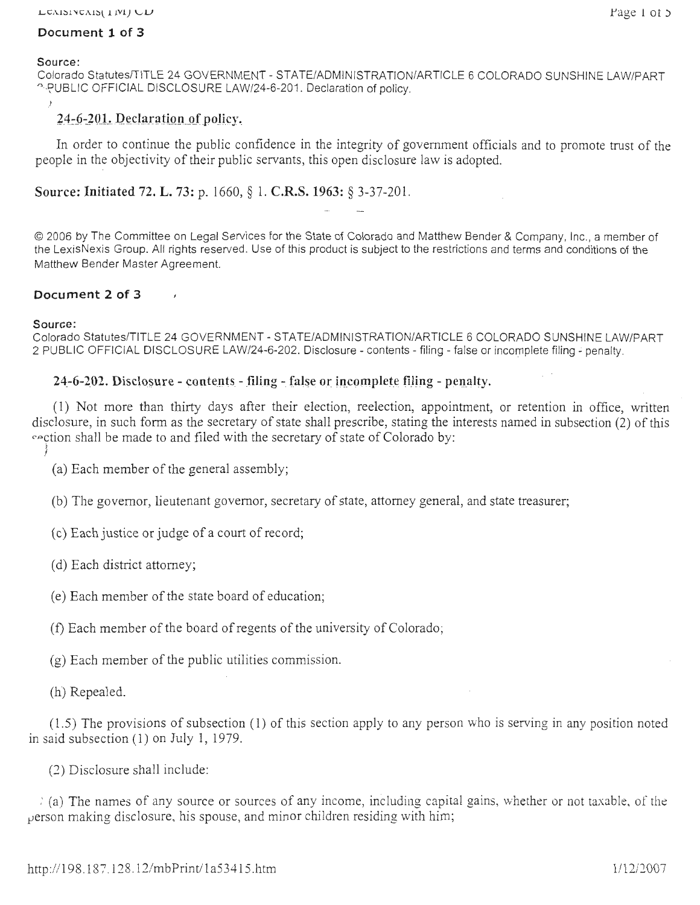## **Document 1 of 3**

#### **Source:**

Colorado Statutes/TITLE 24 GOVERNMENT - STATE/ADMINISTRATION/ARTICLE 6 COLORADO SUNSHINE LAW/PART ) UBLIC OFFICIAL DISCLOSURE LAW/24-6-201. Declaration of policy.

## 24-6-201. Declaration of policy.

In order to continue the public confidence in the integrity of government officials and to promote trust of the people in the objectivity of their public servants, this open disclosure law is adopted.

**Source: Initiated 72. L. 73:** p. 1660, § 1. **C.R.S. 1963:** § 3-37-201.

© 2006 by The Committee on Legal Services for the State of Colorado and Matthew Bender & Company, Inc., a member of the LexisNexis Group. All rights reserved. Use of this product is subject to the restrictions and terms and conditions of the Matthew Bender Master Agreement.

## **Document 2 of 3**

## **Source:**

Colorado Statutes/TITLE 24 GOVERNMENT - STATE/ADMINISTRATION/ARTICLE 6 COLORADO SUNSHINE LAW/PART 2 PUBLIC OFFICIAL DISCLOSURE LAW/24-6-202. Disclosure - contents - filing - false or incomplete filing~ penalty.

## **24-6-202.** Disclosure - contents - filing - false or incomplete filing - penalty.

( 1) Not more than thirty days after their election, reelection, appointment, or retention in office, written disclosure, in such form as the secretary of state shall prescribe, stating the interests named in subsection (2) of this rection shall be made to and filed with the secretary of state of Colorado by:

))

(a) Each member of the general assembly;

(b) The governor, lieutenant governor, secretary of state, attorney general, and state treasurer;

( c) Each justice or judge of a court of record;

( d) Each district attorney;

( e) Each member of the state board of education;

(f) Each member of the board ofregents of the university of Colorado;

(g) Each member of the public utilities commission.

(h) Repealed.

(1.5) The provisions of subsection (1) of this section apply to any person who is serving in any position noted in said subsection  $(1)$  on July 1, 1979.

(2) Disclosure shall include:

*)* (a) The names of any source or sources of any income, including capital gains, whether or not taxable, of the  $\mu$ erson making disclosure, his spouse, and minor children residing with him;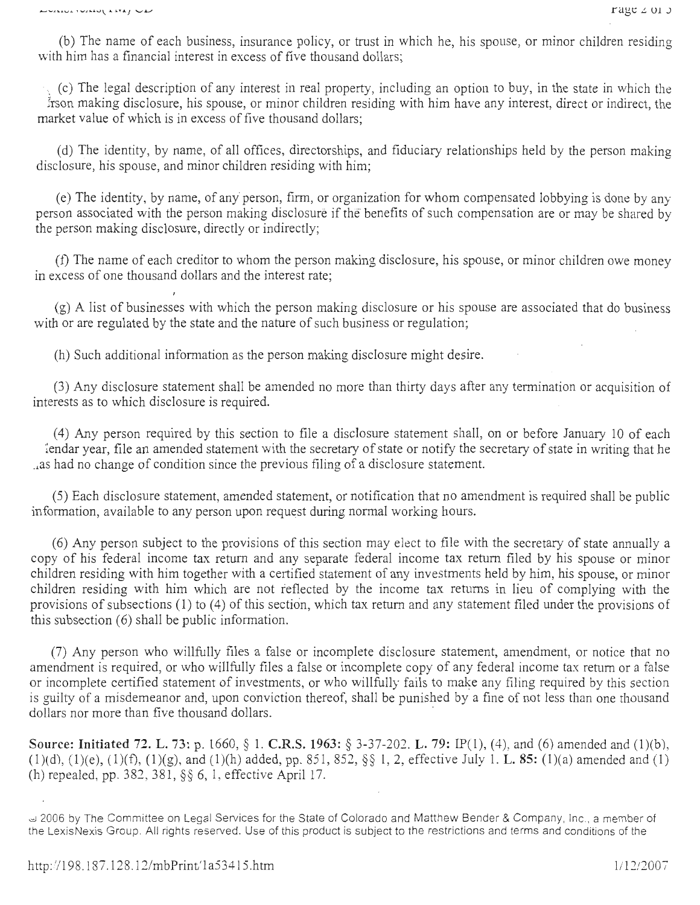(b) The name of each business, insurance policy, or trust in which he, his spouse, or minor children residing with him has a financial interest in excess of five thousand dollars;

 $\cdot$  (c) The legal description of any interest in real property, including an option to buy, in the state in which the trson making disclosure, his spouse, or minor children residing with him have any interest, direct or indirect, the market value of which is in excess of five thousand dollars;

(d) The identity, by name, of all offices, directorships, and fiduciary relationships held by the person making disclosure, his spouse, and minor children residing with him;

( e) The identity, by name, of any person, firm, or organization for whom compensated lobbying is done by any person associated with the person making disclosure if the benefits of such compensation are or may be shared by the person making disclosure, directly or indirectly;

(f) The name of each creditor to whom the person making disclosure, his spouse, or minor children owe money in excess of one thousand dollars and the interest rate;

(g) A list of businesses with which the person making disclosure or his spouse are associated that do business with or are regulated by the state and the nature of such business or regulation;

(h) Such additional information as the person making disclosure might desire.

(3) Any disclosure statement shall be amended no more than thirty days after any termination or acquisition of interests as to which disclosure is required.

( 4) Any person required by this section to file a disclosure statement shall, on or before January 10 of each lendar year, file an amended statement with the secretary of state or notify the secretary of state in writing that he \_,as had no change of condition since the previous filing of a disclosure statement.

(5) Each disclosure statement, amended statement, or notification that no amendment is required shall be public information, available to any person upon request during normal working hours.

(6) Any person subject to the provisions of this section may elect to file with the secretary of state annually a copy of his federal income tax return and any separate federal income tax return filed by his spouse or minor children residing with him together with a certified statement of any investments held by him, his spouse, or minor children residing with him which are not reflected by the income tax returns in lieu of complying with the provisions of subsections (1) to (4) of this section, which tax return and any statement filed under the provisions of this subsection (6) shall be public information.

(7) Any person who willfully files a false or incomplete disclosure statement, amendment, or notice that no amendment is required, or who willfully files a false or incomplete copy of any federal income tax return or a false or incomplete certified statement of investments, or who willfully fails to make any filing required by this section is guilty of a misdemeanor and, upon conviction thereof, shall be punished by a fine of not less than one thousand dollars nor more than five thousand dollars.

Source: Initiated 72. L. 73: p. 1660, § 1. C.R.S. 1963: § 3-37-202. L. 79: IP(1), (4), and (6) amended and (1)(b), (1)(d), (1)(e), (1)(f), (1)(g), and (1)(h) added, pp. 851, 852,  $\S$  1, 2, effective July 1. **L. 85:** (1)(a) amended and (1) (h) repealed, pp. 382, 381, §§ 6, 1, effective April 17 .

U 2006 by The Committee on Legal Services for the State of Colorado and Matthew Bender & Company, Inc., a member of the LexisNexis Group. All rights reserved. Use of this product is subject to the restrictions and terms and conditions of the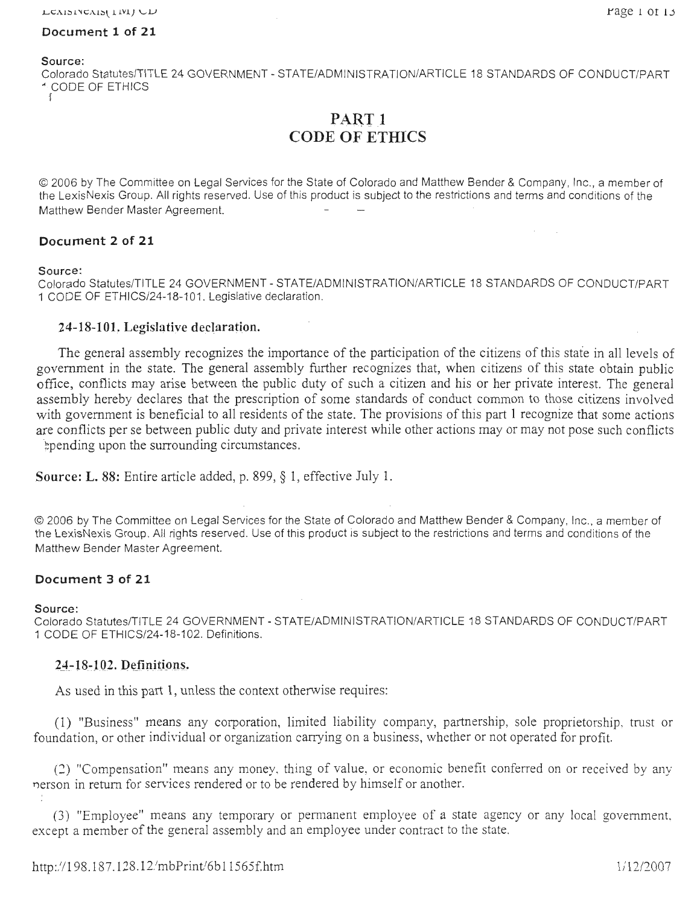#### **Document 1 of 21**

**Source:** 

Colorado Statutes/TITLE 24 GOVERNMENT - STATE/ADMINISTRATION/ARTICLE 18 STANDARDS OF CONDUCT/PART - ) CODE OF ETHICS

> PART<sub>1</sub> **CODE OF ETHICS**

© 2006 by The Committee on Legal Services for the State of Colorado and Matthew Bender & Company, Inc., a member of the LexisNexis Group. All rights reserved. Use of this product is subject to the restrictions and terms and conditions of the Matthew Bender Master Agreement.

#### **Document 2 of 21**

#### **Source:**

Colorado Statutes/TITLE 24 GOVERNMENT - STATE/ADMINISTRATION/ARTICLE 18 STANDARDS OF CONDUCT/PART **1** CODE OF ETHICS/24-18-101. Legislative declaration.

#### 24-18-101. Legislative declaration.

The general assembly recognizes the importance of the participation of the citizens of this state in all levels of government in the state. The general assembly further recognizes that, when citizens of this state obtain public office, conflicts may arise between the public duty of such a citizen and his or her private interest. The general assembly hereby declares that the prescription of some standards of conduct common to those citizens involved with government is beneficial to all residents of the state. The provisions of this part 1 recognize that some actions are conflicts per se between public duty and private interest while other actions may or may not pose such conflicts .pending upon the surrounding circumstances.

**Source: L. 88:** Entire article added, p. 899, § **1,** effective July 1.

© 2006 by The Committee on Legal Services for the State of Colorado and Matthew Bender & Company, Inc., a member of the LexisNexis Group. All rights reserved. Use of this product is subject to the restrictions and terms and conditions of the Matthew Bender Master Agreement.

## **Document 3 of 21**

#### **Source:**

I

Colorado Statutes/TITLE 24 GOVERNMENT- STATE/ADMINISTRATION/ARTICLE 18 STANDARDS OF CONDUCT/PART 1 CODE OF ETHICS/24-18-102. Definitions.

#### **24-18-102. Definitions.**

As used in this part **1,** unless the context otherwise requires:

(1) "Business" means any corporation, limited liability company, partnership, sole proprietorship, trust or foundation, or other individual or organization carrying on a business, whether or not operated for profit.

(2) "Compensation" means any money. thing of value. or economic benefit conferred on or received by any nerson in return for services rendered or to be rendered by himself or another.

(3) "Employee" means any temporary or permanent employee of a state agency or any local government. except a member of the general assembly and an employee under contract to the state.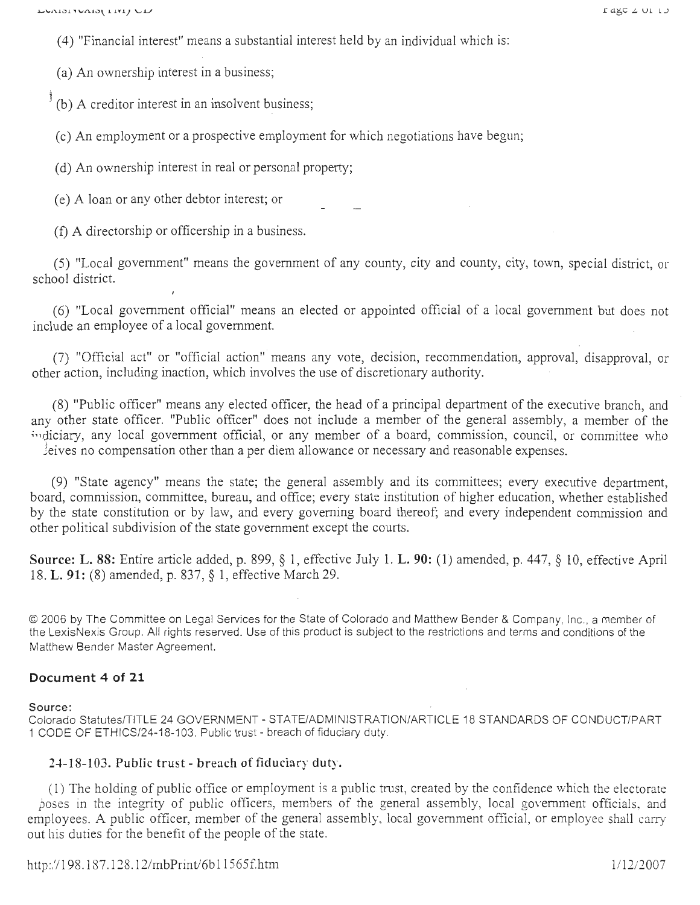( 4) "Financial interest" means a substantial interest held by an individual which is:

(a) An ownership interest in a business;

 $\phi$ <sup> $\dagger$ </sup>(b) A creditor interest in an insolvent business;

( c) An employment or a prospective employment for which negotiations have begun;

(d) An ownership interest in real or personal property;

( e) A loan or any other debtor interest; or

(f) A directorship or officership in a business.

(5) "Local government" means the government of any county, city and county, city, town, special district, or school district.

(6) "Local government official" means an elected or appointed official of a local government but does not include an employee of a local government.

(7) "Official act" or "official action" means any vote, decision, recommendation, approval, disapproval, or other action, including inaction, which involves the use of discretionary authority.

(8) "Public officer" means any elected officer, the head of a principal department of the executive branch, and any other state officer. "Public officer" does not include a member of the general assembly, a member of the indiciary, any local government official, or any member of a board, commission, council, or committee who  $\ell$  eives no compensation other than a per diem allowance or necessary and reasonable expenses.

(9) "State agency" means the state; the general assembly and its committees; every executive department, board, commission, committee, bureau, and office; every state institution of higher education, whether established by the state constitution or by law, and every governing board thereof; and every independent commission and other political subdivision of the state government except the courts.

Source: L. 88: Entire article added, p. 899, § 1, effective July 1. L. 90: (1) amended, p. 447, § 10, effective April 18. L. 91: (8) amended, p. 837, § 1, effective March 29.

© 2006 by The Committee on Legal Services for the State of Colorado and Matthew Bender & Company, Inc., a member of the LexisNexis Group. All rights reserved. Use of this product is subject to the restrictions and terms and conditions of the Matthew Bender Master Agreement.

### **Document 4 of 21**

Source :

Colorado Statutes/TITLE 24 GOVERNMENT - STATE/ADMINISTRATION/ARTICLE 18 STANDARDS OF CONDUCT/PART 1 CODE OF ETH ICS/24-18-103. Public trust - breach of fiduciary duty.

### 24-18-103. Public trust - breach of fiduciary duty.

( 1) The holding of public office or employment is a public trust, created by the confidence which the electorate poses in the integrity of public officers, members of the general assembly, local government officials, and employees. A public officer, member of the general assembly, local government official, or employee shall carry out his duties for the benefit of the people of the state.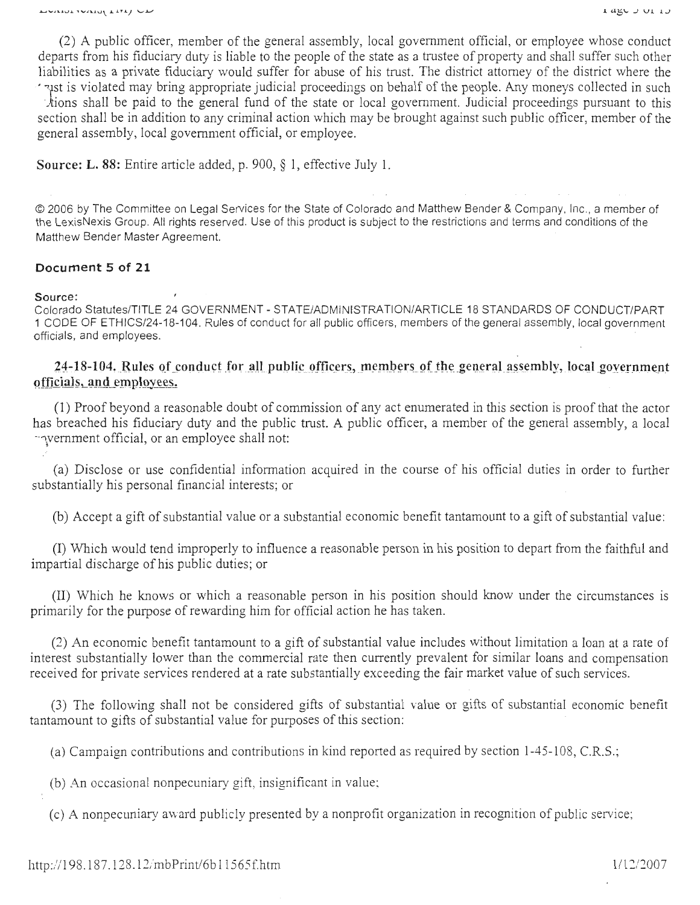(2) A public officer, member of the general assembly, local government official, or employee whose conduct departs from his fiduciary duty is liable to the people of the state as a trustee of property and shall suffer such other liabilities as a private fiduciary would suffer for abuse of his trust. The district attorney of the district where the ' st is violated may bring appropriate judicial proceedings on behalf of the people. Any moneys collected in such

tions shall be paid to the general fund of the state or local government. Judicial proceedings pursuant to this section shall be in addition to any criminal action which may be brought against such public officer, member of the general assembly, local government official, or employee.

**Source: L. 88:** Entire article added, p. 900, § 1, effective July **1.** 

© 2006 by The Committee on Legal Services for the State of Colorado and Matthew Bender & Company, Inc., a member of the LexisNexis Group. All rights reserved. Use of this product is subject to the restrictions and terms and conditions of the Matthew Bender Master Agreement.

## **Document 5 of 21**

#### **Source:**

Colorado Statutes/TITLE 24 GOVERNMENT- STATE/ADMINISTRATION/ARTICLE 18 STANDARDS OF CONDUCT/PART 1 CODE OF ETHICS/24-18-104. Rules of conduct for all public officers, members of the general assembly, local government officials, and employees.

## 24-18-104. Rules of conduct for all public officers, members of the general assembly, local government officials, and employees.

(1) Proof beyond a reasonable doubt of commission of any act enumerated in this section is proof that the actor has breached his fiduciary duty and the public trust. A public officer, a member of the general assembly, a local ··yemment official, or an employee shall not:

(a) Disclose or use confidential information acquired in the course of his official duties in order to further substantially his personal financial interests; or

(b) Accept a gift of substantial value or a substantial economic benefit tantamount to a gift of substantial value :

(I) Which would tend improperly to influence a reasonable person in his position to depart from the faithful and impartial discharge of his public duties; or

(II) Which he knows or which a reasonable person in his position should know under the circumstances is primarily for the purpose of rewarding him for official action he has taken.

(2) An economic benefit tantamount to a gift of substantial value includes without limitation a loan at a rate of interest substantially lower than the commercial rate then currently prevalent for similar loans and compensation received for private services rendered at a rate substantially exceeding the fair market value of such services.

(3) The following shall not be considered gifts of substantial value or gifts of substantial economic benefit tantamount to gifts of substantial value for purposes of this section:

(a) Campaign contributions and contributions in kind reported as required by section 1-45-108, C.R.S.;

(b) An occasional nonpecuniary gift, insignificant in value:

(c) A nonpecuniary av ard publicly presented by a nonprofit organization in recognition of public service;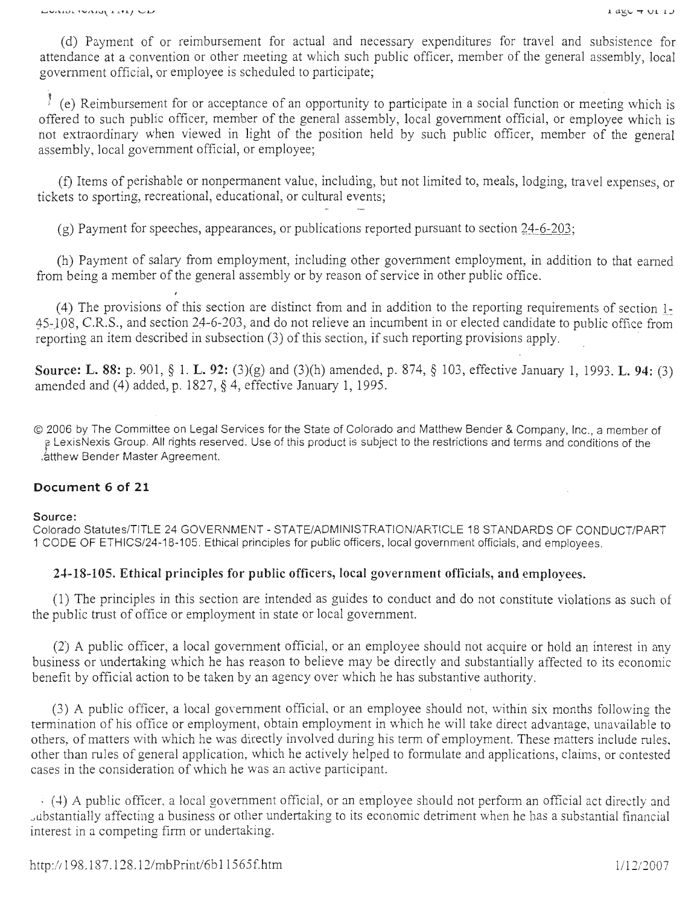(d) Payment of or reimbursement for actual and necessary expenditures for travel and subsistence for attendance at a convention or other meeting at which such public officer, member of the general assembly, local government official, or employee is scheduled to participate;

 $\frac{1}{2}$  (e) Reimbursement for or acceptance of an opportunity to participate in a social function or meeting which is offered to such public officer, member of the general assembly, local government official, or employee which is not extraordinary when viewed in light of the position held by such public officer, member of the general assembly, local government official, or employee;

(f) Items of perishable or nonpermanent value, including, but not limited to, meals, lodging, travel expenses, or tickets to sporting, recreational, educational, or cultural events;

 $(g)$  Payment for speeches, appearances, or publications reported pursuant to section 24-6-203;

(h) Payment of salary from employment, including other government employment, in addition to that earned from being a member of the general assembly or by reason of service in other public office.

( 4) The provisions of this section are distinct from and in addition to the reporting requirements of section l: ~5 )98, C.R.S., and section 24-6-203, and do not relieve an incumbent in or elected candidate to public office from reporting an item described in subsection (3) of this section, if such reporting provisions apply.

**Source: L. 88:** p. 901, § **1. L. 92:** (3)(g) and (3)(h) amended, p. 874, § 103, effective January 1, 1993. **L. 94:** (3) amended and (4) added, p. 1827, § 4, effective January 1, 1995.

© 2006 by The Committee on Legal Services for the State of Colorado and Matthew Bender & Company, Inc., a member of f LexisNexis Group. All rights reserved . Use of this product is subject to the restrictions and terms and conditions of the .atthew Bender Master Agreement.

## **Document 6 of 21**

#### **Source:**

Colorado Statutes/TITLE 24 GOVERNMENT - STATE/ADMINISTRATION/ARTICLE 18 STANDARDS OF CONDUCT/PART 1 CODE OF ETHICS/24-18-105. Ethical principles for public officers, local government officials, and employees.

## **24-18-105. Ethical principles for public officers, local government officials, and employees.**

(1) The principles in this section are intended as guides to conduct and do not constitute violations as such of the public trust of office or employment in state or local government.

(2) A public officer, a local government official, or an employee should not acquire or hold an interest in any business or undertaking which he has reason to believe may be directly and substantially affected to its economic benefit by official action to be taken by an agency over which he has substantive authority.

(3) A public officer, a local government officiaL or an employee should not, within six months following the termination of his office or employment, obtain employment in which he will take direct advantage, unavailable to others, of matters with which he was directly involved during his term of employment. These matters include rules, other than rules of general application, which he actively helped to formulate and applications, claims, or contested cases in the consideration of which he was an active participant.

 $\frac{1}{2}$  (4) A public officer, a local government official, or an employee should not perform an official act directly and ~ubstantially affecting a business or other undertaking to its economic detriment when he has a substantial financial interest in a competing firm or undertaking.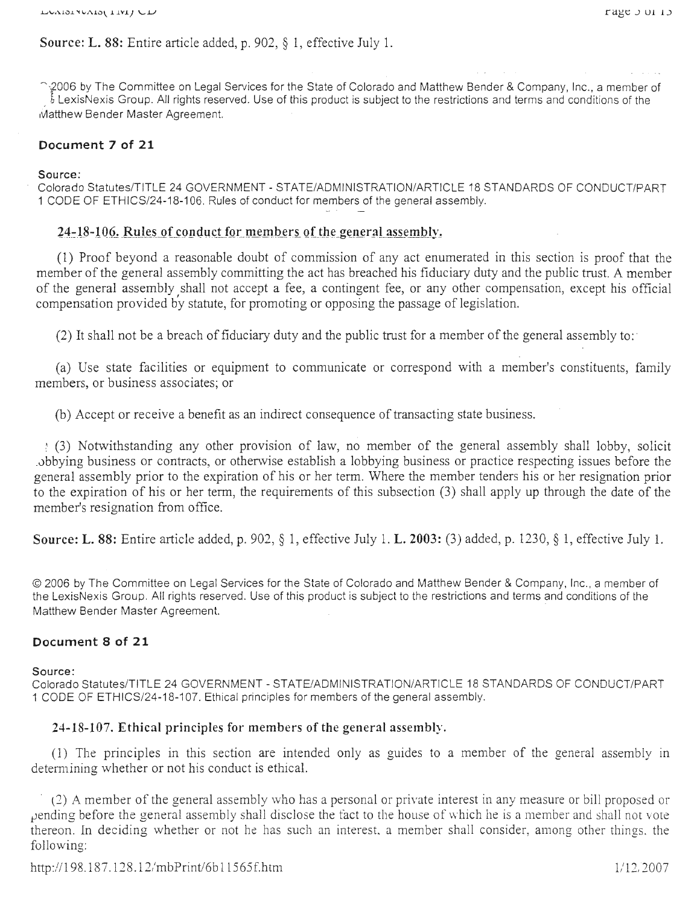Source: L. 88: Entire article added, p. 902, § I, effective July I.

↑ 2006 by The Committee on Legal Services for the State of Colorado and Matthew Bender & Company, Inc., a member of LexisNexis Group. All rights reserved. Use of this product is subject to the restrictions and terms and conditions of the Matthew Bender Master Agreement.

## **Document 7 of 21**

#### Source:

Colorado Statutes/TITLE 24 GOVERNMENT - STATE/ADMINISTRATION/ARTICLE 18 STANDARDS OF CONDUCT/PART 1 CODE OF ETHICS/24-18-106. Rules of conduct for members of the general assembly.

## 24-18-106. Rules of conduct for members of the general assembly.

(1) Proof beyond a reasonable doubt of commission of any act enumerated in this section is proof that the member of the general assembly committing the act has breached his fiduciary duty and the public trust. A member of the general assembly shall not accept a fee, a contingent fee, or any other compensation, except his official compensation provided by statute, for promoting or opposing the passage of legislation.

(2) It shall not be a breach of fiduciary duty and the public trust for a member of the general assembly to :

(a) Use state facilities or equipment to communicate or correspond with a member's constituents, family members, or business associates; or

(b) Accept or receive a benefit as an indirect consequence of transacting state business.

*)* (3) Notwithstanding any other provision of law, no member of the general assembly shall lobby, solicit .obbying business or contracts, or otherwise establish a lobbying business or practice respecting issues before the general assembly prior to the expiration of his or her term. Where the member tenders his or her resignation prior to the expiration of his or her term, the requirements of this subsection (3) shall apply up through the date of the member's resignation from office.

Source: L. 88: Entire article added, p. 902, § 1, effective July 1. L. 2003: (3) added, p. 1230, § 1, effective July 1.

© 2006 by The Committee on Legal Services for the State of Colorado and Matthew Bender & Company, Inc., a member of the LexisNexis Group. All rights reserved. Use of this product is subject to the restrictions and terms and conditions of the Matthew Bender Master Agreement.

## **Document 8 of 21**

Source:

Colorado Statutes/TITLE 24 GOVERNMENT - STATE/ADMINISTRATION/ARTICLE 18 STANDARDS OF CONDUCT/PART 1 CODE OF ETHICS/24-18-107. Ethical principles for members of the general assembly.

## 24-18-107. Ethical principles for members of the general assembly.

(1) The principles in this section are intended only as guides to a member of the general assembly in determining whether or not his conduct is ethical.

(2) A member of the general assembly who has a personal or private interest in any measure or bill proposed or pending before the general assembly shall disclose the fact to the house of which he is a member and shall not vote thereon. In deciding whether or not he has such an interest. a member shall consider, among other things. the following: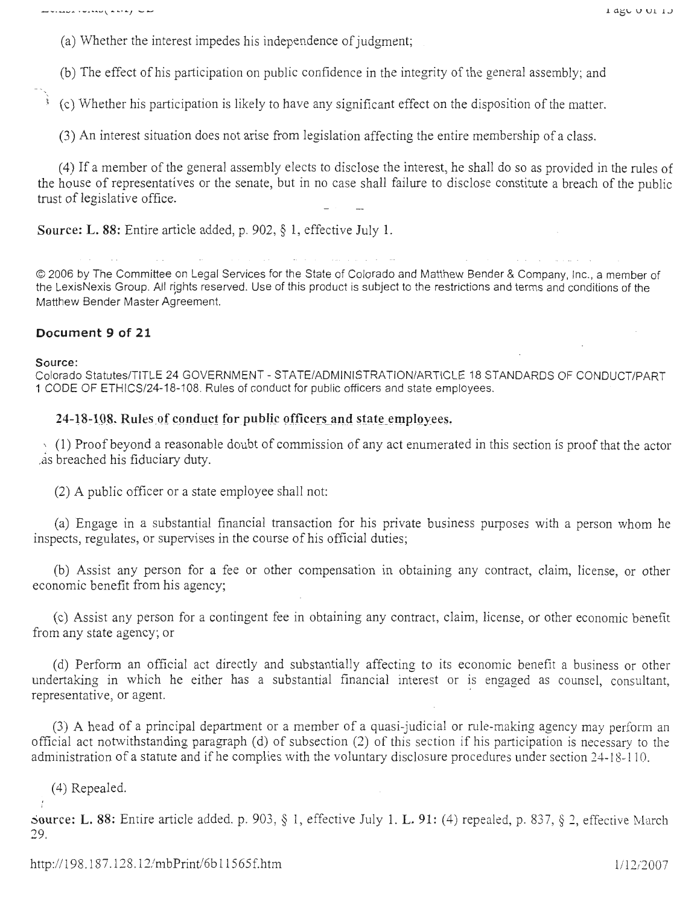(a) Whether the interest impedes his independence of judgment;

(b) The effect of his participation on public confidence in the integrity of the general assembly; and

~ ( c) ·whether his participation is likely to have any significant effect on the disposition of the matter.

(3) An interest situation does not arise from legislation affecting the entire membership of a class.

( 4) If a member of the general assembly elects to disclose the interest, he shall do so as provided in the rules of the house of representatives or the senate, but in no case shall failure to disclose constitute a breach of the public trust of legislative office.

**Source: L. 88:** Entire article added, p. 902, § 1, effective July **1.** 

© 2006 by The Committee on Legal Services for the State of Colorado and Matthew Bender & Company, Inc., a member of the LexisNexis Group. All rights reserved. Use of this product is subject to the restrictions and terms and conditions of the Matthew Bender Master Agreement.

### **Document 9 of 21**

#### **Source:**

Colorado Statutes/TITLE 24 GOVERNMENT - STATE/ADMINISTRATION/ARTICLE 18 STANDARDS OF CONDUCT/PART 1 CODE OF ETHICS/24-18-108. Rules of conduct for public officers and state employees.

### 24-18-108. Rules of conduct for public officers and state employees.

 $(1)$  Proof beyond a reasonable doubt of commission of any act enumerated in this section is proof that the actor .as breached his fiduciary duty.

(2) A public officer or a state employee shall not:

(a) Engage in a substantial financial transaction for his private business purposes with a person whom he inspects, regulates, or supervises in the course of his official duties;

(b) Assist any person for a fee or other compensation in obtaining any contract, claim, license, or other economic benefit from his agency;

( c) Assist any person for a contingent fee in obtaining any contract, claim, license, or other economic benefit from any state agency; or

( d) Perform an official act directly and substantially affecting to its economic benefit a business or other undertaking in which he either has a substantial financial interest or is engaged as counsel, consultant, representative, or agent.

(3) A head of a principal department or a member of a quasi-judicial or rule-making agency may perform an official act notwithstanding paragraph (d) of subsection (2) of this section if his participation is necessary to the administration of a statute and if he complies with the voluntary disclosure procedures under section 24-18-110.

(4) Repealed.

 $\frac{1}{2}$ 

~ource: **L.** 88: Entire article added, p. 903 , § 1, effective July 1. **L. 91 :** (4) repealed, p. 837, § 2, effective March 29.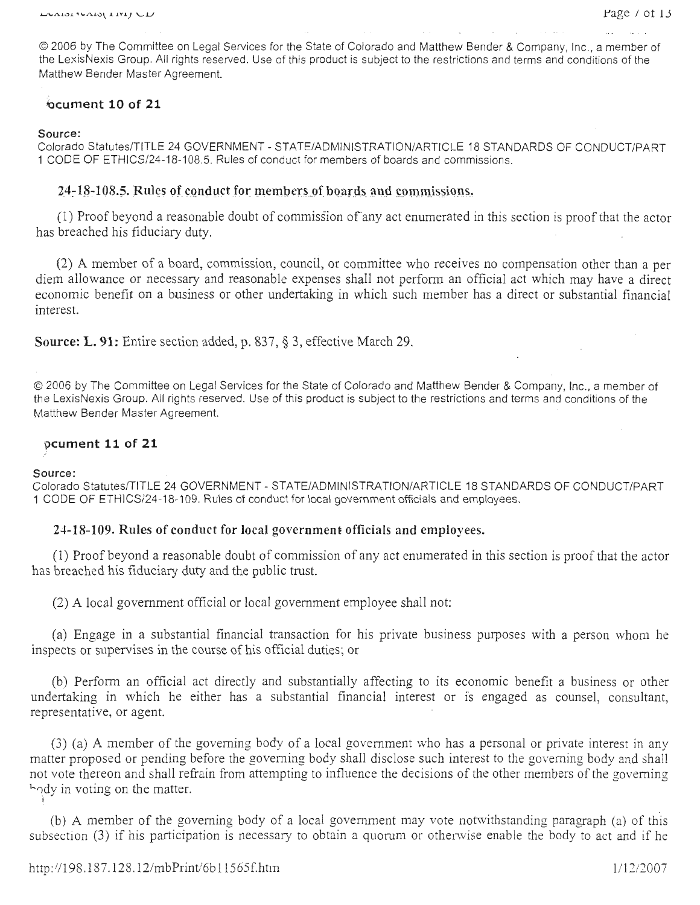© 2006 by The Committee on Legal Services for the State of Colorado and Matthew Bender & Company, Inc , a member of the LexisNexis Group. All rights reserved. Use of this product is subject to the restrictions and terms and conditions of the Matthew Bender Master Agreement.

## **cument 10 of 21**

#### **Source:**

Colorado Statutes/TITLE 24 GOVERNMENT - STATE/ADMINISTRATION/ARTICLE 18 STANDARDS OF CONDUCT/PART 1 CODE OF ETHICS/24-18-108.5. Rules of conduct for members of boards and commissions .

## **24-18-108.5. Rules of conduct for members of boards and commissions.**

(1) Proof beyond a reasonable doubt of commission of any act enumerated in this section is proof that the actor has breached his fiduciary duty.

(2) A member of a board, commission, council, or committee who receives no compensation other than a per diem allowance or necessary and reasonable expenses shall not perform an official act which may have a direct economic benefit on a business or other undertaking in which such member has a direct or substantial financial interest.

**Source: L. 91:** Entire section added, p. 837, § 3, effective March 29.

© 2006 by The Committee on Legal Services for the State of Colorado and Matthew Bender & Company, Inc., a member of the LexisNexis Group. All rights reserved. Use of this product is subject to the restrictions and terms and conditions of the Matthew Bender Master Agreement.

#### **Dcument 11 of 21**

#### **Source:**

Colorado Statutes/TITLE 24 GOVERNMENT - STATE/ADMINISTRATION/ARTICLE 18 STANDARDS OF CONDUCT/PART 1 CODE OF ETHICS/24-18-109. Rules of conduct for local government officials and employees.

## **24-18-109. Rules of conduct for local** governmen~ **officials and employees.**

( 1) Proof beyond a reasonable doubt of commission of any act enumerated in this section is proof that the actor has breached his fiduciary duty and the public trust.

(2) A local government official or local government employee shall not:

(a) Engage in a substantial financial transaction for his private business purposes with a person whom he inspects or supervises in the course of his official duties; or

(b) Perform an official act directly and substantially affecting to its economic benefit a business or other undertaking in which he either has a substantial financial interest or is engaged as counsel, consultant, representative, or agent.

(3) (a) A member of the governing body of a local government who has a personal or private interest in any matter proposed or pending before the governing body shall disclose such interest to the governing body and shall not vote thereon and shall refrain from attempting to influence the decisions of the other members of the governing hody in voting on the matter.

(b) A member of the governing body of a local government may vote notwithstanding paragraph (a) of this subsection (3) if his participation is necessary to obtain a quorum or othenvise enable the body to act and if he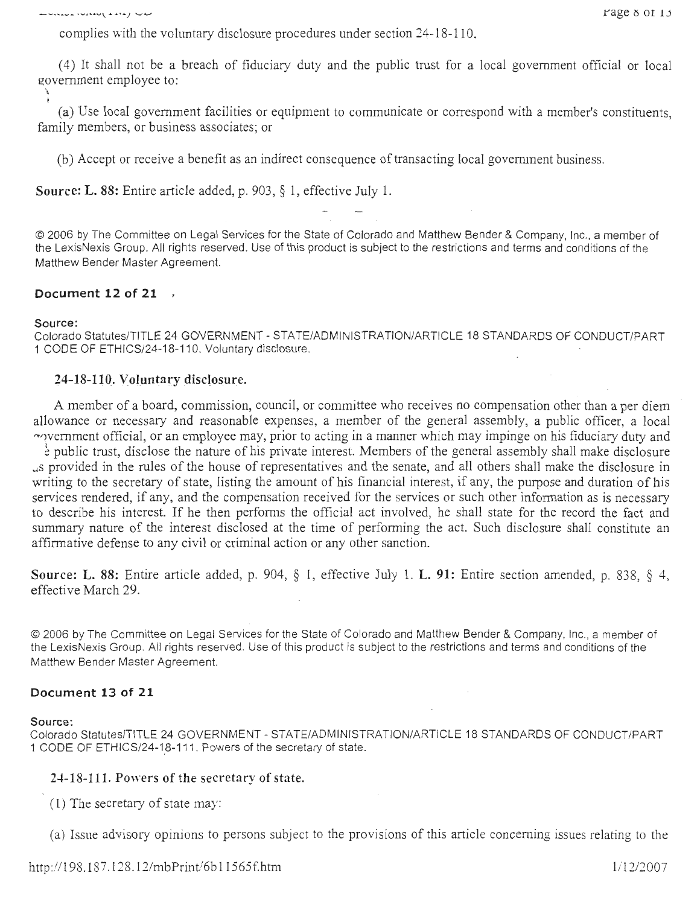LUINIUL IVINIU (LITE) UL

complies with the voluntary disclosure procedures under section 24-18-110.

( 4) It shall not be a breach of fiduciary duty and the public trust for a local government official or local government employee to:

(a) Use local government facilities or equipment to communicate or correspond with a member's constituents, family members, or business associates; or

(b) Accept or receive a benefit as an indirect consequence of transacting local government business.

Source: L. 88: Entire article added, p. 903, § 1, effective July 1.

© 2006 by The Committee on Legal Services for the State of Colorado and Matthew Bender & Company, Inc., a member of the LexisNexis Group. All rights reserved . Use of this product is subject to the restrictions and terms and conditions of the Matthew Bender Master Agreement.

## **Document 12 of 21**

#### Source:

Colorado Statutes/TITLE 24 GOVERNMENT - STATE/ADMINISTRATION/ARTICLE 18 STANDARDS OF CONDUCT/PART 1 CODE OF ETHICS/24-18-110. Voluntary disclosure.

## 24-18-110. Voluntary disclosure.

A member of a board, commission, council, or committee who receives no compensation other than a per diem allowance or necessary and reasonable expenses, a member of the general assembly, a public officer, a local """>vernment official, or an employee may, prior to acting in a manner which may impinge on his fiduciary duty and

 $\frac{1}{2}$  public trust, disclose the nature of his private interest. Members of the general assembly shall make disclosure ..,s provided in the rules of the house of representatives and the senate, and all others shall make the disclosure in writing to the secretary of state, listing the amount of his financial interest, if any, the purpose and duration of his services rendered, if any, and the compensation received for the services or such other information as is necessary to describe his interest. If he then performs the official act involved, he shall state for the record the fact and summary nature of the interest disclosed at the time of performing the act. Such disclosure shall constitute an affirmative defense to any civil or criminal action or any other sanction.

Source: **L.** 88: Entire article added, p. 904, § 1, effective July 1. **L.** 91: Entire section amended, p. 838, § 4, effective March 29.

© 2006 by The Committee on Legal Services for the State of Colorado and Matthew Bender & Company, Inc., a member of the LexisNexis Group. All rights reserved. Use of this product is subject to the restrictions and terms and conditions of the Matthew Bender Master Agreement.

## **Document 13 of 21**

#### Source:

Colorado Statutes/TITLE 24 GOVERNMENT - STATE/ADMINISTRATION/ARTICLE 18 STANDARDS OF CONDUCT/PART 1 CODE OF ETHICS/24-18-111. Powers of the secretary of state.

## 24-18-111. Powers of the secretary of state.

 $(1)$  The secretary of state may:

(a) Issue advisory opinions to persons subject to the provisions of this article concerning issues relating to the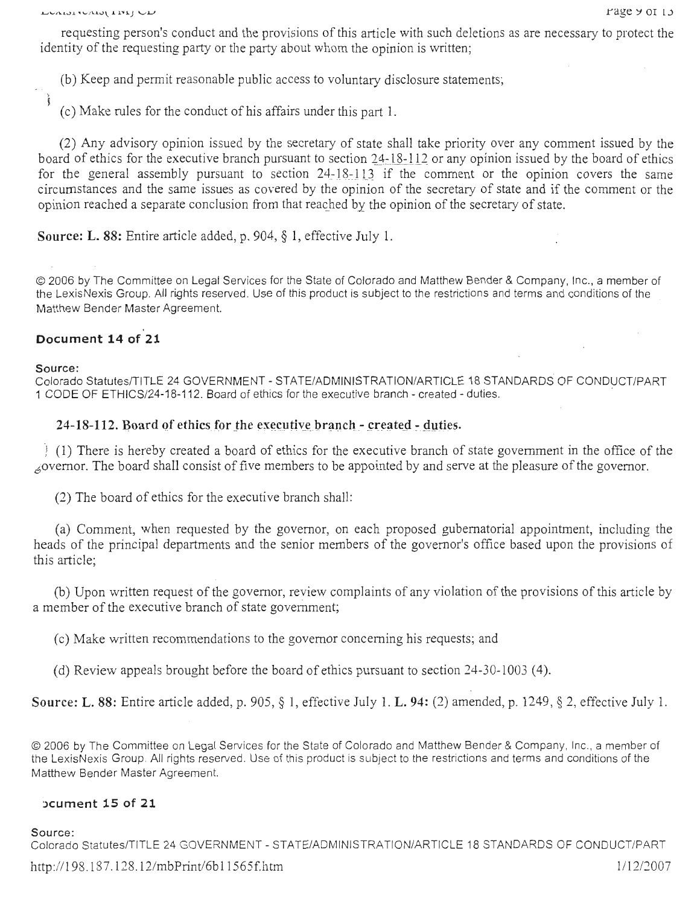requesting person's conduct and the provisions of this article with such deletions as are necessary to protect the identity of the requesting party or the party about whom the opinion is written;

(b) Keep and permit reasonable public access to voluntary disclosure statements;

( c) Make rules for the conduct of his affairs under this part 1.

(2) Any advisory opinion issued by the secretary of state shall take priority over any comment issued by the board of ethics for the executive branch pursuant to section 24-18-112 or any opinion issued by the board of ethics for the general assembly pursuant to section  $24 - 18 - 113$  if the comment or the opinion covers the same circumstances and the same issues as covered by the opinion of the secretary of state and if the comment or the opinion reached a separate conclusion from that reached by the opinion of the secretary of state.

**Source: L. 88:** Entire article added, p. 904, § 1, effective July 1.

© 2006 by The Committee on Legal Services for the State of Colorado and Matthew Bender & Company, Inc., a member of the LexisNexis Group. All rights reserved. Use of this product is subject to the restrictions and terms and conditions of the Matthew Bender Master Agreement.

## **Document 14 of 21**

**Source:** 

 $\frac{1}{3}$ 

Colorado Statutes/TITLE 24 GOVERNMENT - STATE/ADMINISTRATION/ARTICLE 18 STANDARDS OF CONDUCT/PART 1 CODE OF ETHICS/24-18-112. Board of ethics for the executive branch - created - duties.

## **24-18-112.** Board of ethics for the executive branch - created - duties.

*2* (1) There is hereby created a board of ethics for the executive branch of state government in the office of the <sup>6</sup> overnor. The board shall consist of five members to be appointed by and serve at the pleasure of the governor.

(2) The board of ethics for the executive branch shall:

(a) Comment, when requested by the governor, on each proposed gubernatorial appointment, including the heads of the principal departments and the senior members of the governor's office based upon the provisions of this article;

(b) Upon written request of the governor, review complaints of any violation of the provisions of this article by a member of the executive branch of state government;

( c) Make written recommendations to the governor concerning his requests; and

(d) Review appeals brought before the board of ethics pursuant to section  $24-30-1003$  (4).

**Source: L.** 88: Entire article added, p. 905, § 1, effective July 1. **L. 94:** (2) amended, p. 1249, § 2, effective July 1.

© 2006 by The Committee on Legal Services for the State of Colorado and Matthew Bender & Company, Inc., a member of the LexisNexis Group. All rights reserved. Use of this product is subject to the restrictions and terms and conditions of the Matthew Bender Master Agreement.

#### **hcument 15 of 21**

Source :

Colorado Statutes/TITLE 24 GOVERNMENT - STATE/ADMINISTRATION/ARTICLE 18 STANDARDS OF CONDUCT/PART http://198.187.128.12/mbPrint/6b11565f.htm 1/12/2007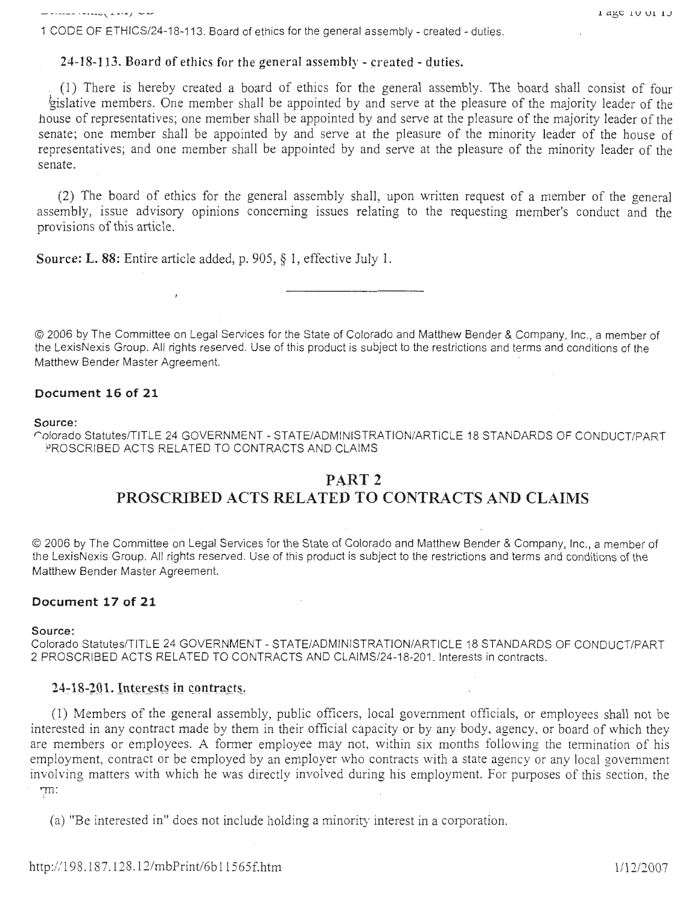1 CODE OF ETHICS/24-18-113. Board of ethics for the general assembly - created - duties.

24-18-113. Board of ethics for the general assembly - created - duties.

( 1) There is hereby created a board of ethics for the general assembly. The board shall consist of four gislative members. One member shall be appointed by and serve at the pleasure of the majority leader of the house of representatives; one member shall be appointed by and serve at the pleasure of the majority leader of the senate; one member shall be appointed by and serve at the pleasure of the minority leader of the house of representatives; and one member shall be appointed by and serve at the pleasure of the minority leader of the senate.

(2) The board of ethics for the general assembly shall, upon written request of a member of the general assembly, issue advisory opinions concerning issues relating to the requesting member's conduct and the provisions of this article.

Source: L. 88: Entire article added, p. 905, § 1, effective July 1.

 $\overline{1}$ 

© 2006 by The Committee on Legal Services for the State of Colorado and Matthew Bender & Company, Inc., a member of the LexisNexis Group. All rights reserved. Use of this product is subject to the restrictions and terms and conditions of the Matthew Bender Master Agreement.

## Document 16 of 21

#### Source:

rolorado Statutes/TITLE 24 GOVERNMENT - STATE/ADMINISTRATION/ARTICLE 18 STANDARDS OF CONDUCT/PART PROSCRIBED ACTS RELATED TO CONTRACTS AND CLAIMS

### PART 2

# PROSCRIBED ACTS RELATED TO CONTRACTS AND CLAIMS

© 2006 by The Committee on Legal Services for the State of Colorado and Matthew Bender & Company, Inc., a member of the LexisNexis Group. All rights reserved. Use of this product is subject to the restrictions and terms and conditions of the Matthew Bender Master Agreement.

#### Document 17 of 21

#### Source:

Colorado Statutes/TITLE 24 GOVERNMENT - STATE/ADMINISTRATION/ARTICLE 18 STANDARDS OF CONDUCT/PART 2 PROSCRIBED ACTS RELATED TO CONTRACTS AND CLAIMS/24-18-201. Interests in contracts.

## $24-18-201$ . Interests in contracts.

(1) Members of the general assembly, public officers, local government officials, or employees shall not be interested in any contract made by them in their official capacity or by any body. agency. or board of which they are members or employees. A former employee may not, within six months following the termination of his employment, contract or be employed by an employer who contracts with a state agency or any local government involving matters with which he was directly involved during his employment. For purposes of this section, the '111: )i

(a) "Be interested in" does not include holding a minority interest in a corporation.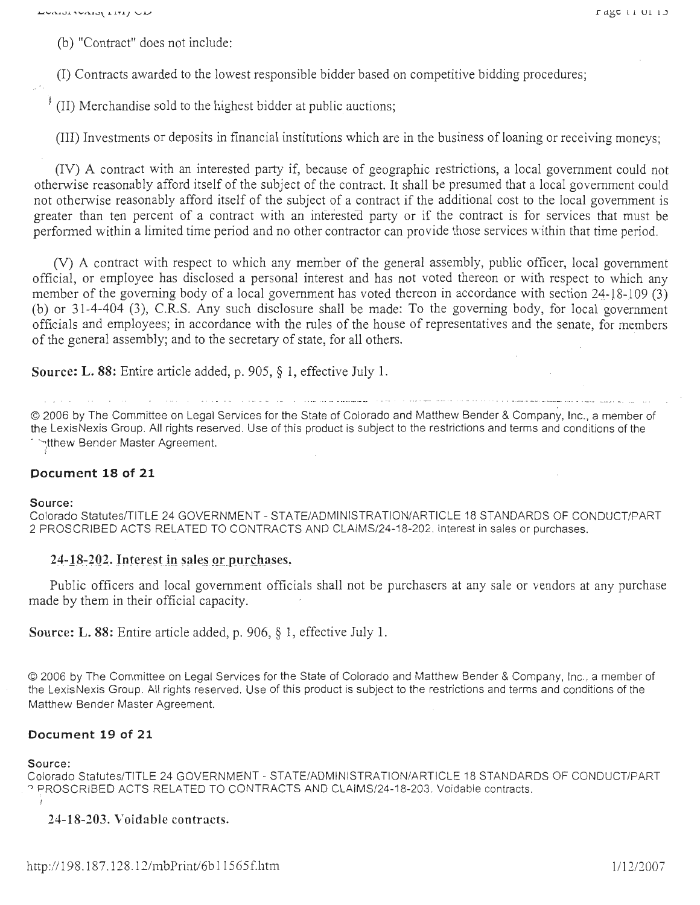(b) "Contract" does not include:

(I) Contracts awarded to the lowest responsible bidder based on competitive bidding procedures;

 $\parallel$  (II) Merchandise sold to the highest bidder at public auctions;

(III) Investments or deposits in financial institutions which are in the business of loaning or receiving moneys;

(IV) A contract with an interested party if, because of geographic restrictions, a local government could not otherwise reasonably afford itself of the subject of the contract. It shall be presumed that a local government could not otherwise reasonably afford itself of the subject of a contract if the additional cost to the local government is greater than ten percent of a contract with an interested party or if the contract is for services that must be performed within a limited time period and no other contractor can provide those services within that time period.

(V) A contract with respect to which any member of the general assembly, public officer, local government official, or employee has disclosed a personal interest and has not voted thereon or with respect to which any member of the governing body of a local government has voted thereon in accordance with section  $24-18-109(3)$ (b) or 31-4-404 (3), C.R.S. Any such disclosure shall be made: To the governing body, for local government officials and employees; in accordance with the rules of the house of representatives and the senate, for members of the general assembly; and to the secretary of state, for all others.

**Source: L. 88:** Entire article added, p. 905, § **1,** effective July 1.

© 2006 by The Committee on Legal Services for the State of Colorado and Matthew Bender & Company, Inc., a member of the Lexis Nexis Group. All rights reserved. Use of this product is subject to the restrictions and terms and conditions of the intthew Bender Master Agreement.

## **Document 18 of 21**

#### **Source:**

Colorado Statutes/TITLE 24 GOVERNMENT - STATE/ADMINISTRATION/ARTICLE 18 STANDARDS OF CONDUCT/PART 2 PROSCRIBED ACTS RELATED TO CONTRACTS AND CLAIMS/24-18-202. Interest in sales or purchases.

## 24-18-202. Interest in sales or purchases.

Public officers and local government officials shall not be purchasers at any sale or vendors at any purchase made by them in their official capacity.

**Source: L. 88:** Entire article added, p. 906, § 1, effective July 1.

© 2006 by The Committee on Legal Services for the State of Colorado and Matthew Bender & Company, Inc. , a member of the LexisNexis Group. All rights reserved. Use of this product is subject to the restrictions and terms and conditions of the Matthew Bender Master Agreement.

### **Document 19 of 21**

#### **Source:**

Colorado Statutes/TITLE 24 GOVERNMENT - STATE/ADMINISTRATION/ARTICLE 18 STANDARDS OF CONDUCT/PART <sup>0</sup>PROSCRIBED ACTS RELATED TO CONTRACTS AND CLAIMS/24-18-203. Voidable contracts. - )

**24-18-203. Voidable contracts.**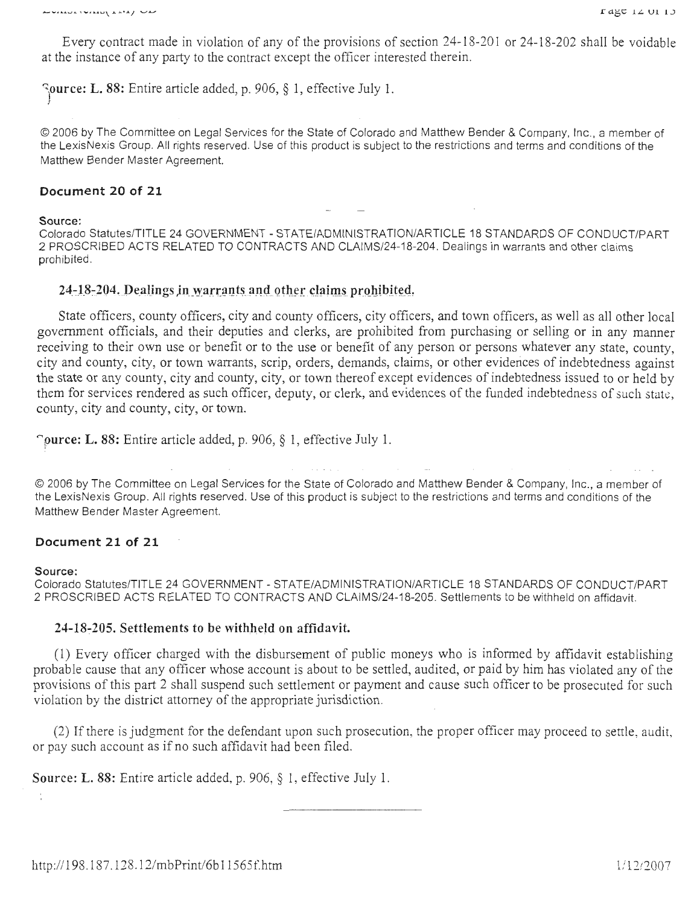Every contract made in violation of any of the provisions of section 24-18-201 or 24-18-202 shall be voidable at the instance of any party to the contract except the officer interested therein.

**) ource: L. 88:** Entire article added, p. 906, § 1, effective July **1.** 

© 2006 by The Committee on Legal Services for the State of Colorado and Matthew Bender & Company, Inc., a member of the LexisNexis Group. All rights reserved. Use of this product is subject to the restrictions and terms and conditions of the Matthew Bender Master Agreement.

#### **Document 20 of 21**

**Source:** 

Colorado Statutes/TITLE 24 GOVERNMENT - STATE/ADMINISTRATION/ARTICLE 18 STANDARDS OF CONDUCT/PART 2 PROSCRIBED ACTS RELATED TO CONTRACTS AND CLAIMS/24-18-204. Dealings in warrants and other claims prohibited.

#### 24-18-204. Dealings in warrants and other claims prohibited.

State officers, county officers, city and county officers, city officers, and town officers, as well as all other local government officials, and their deputies and clerks, are prohibited from purchasing or selling or in any manner receiving to their own use or benefit or to the use or benefit of any person or persons whatever any state, county, city and county, city, or town warrants, scrip, orders, demands, claims, or other evidences of indebtedness against the state or any county, city and county, city, or town thereof except evidences of indebtedness issued to or held by them for services rendered as such officer, deputy, or clerk, and evidences of the funded indebtedness of such stak, county, city and county, city, or town.

**')ource: L. 88:** Entire article added, p. 906, § **1,** effective July 1.

© 2006 by The Committee on Legal Services for the State of Colorado and Matthew Bender & Company, Inc., a member of the LexisNexis Group. All rights reserved. Use of this product is subject to the restrictions and terms and conditions of the Matthew Bender Master Agreement.

#### **Document 21 of 21**

#### **Source:**

)

Colorado Statutes/TITLE 24 GOVERNMENT - STATE/ADMINISTRATION/ARTICLE 18 STANDARDS OF CONDUCT/PART 2 PROSCRIBED ACTS RELATED TO CONTRACTS AND CLAIMS/24-18-205. Settlements to be withheld on affidavit.

#### **24-18".'205. Settlements to be withheld on affidavit.**

(1) Every officer charged with the disbursement of public moneys who is informed by affidavit establishing probable cause that any officer whose account is about to be settled, audited, or paid by him has violated any of the provisions of this part 2 shall suspend such settlement or payment and cause such officer to be prosecuted for such violation by the district attorney of the appropriate jurisdiction.

(2) If there is judgment for the defendant upon such prosecution, the proper officer may proceed to settle, audit, or pay such account as if no such affidavit had been filed.

**Source: L.** 88: Entire article added, p. 906, § 1, effective July 1.

http://198.187.128.12/mbPrint/6b11565f.htm 1/12/2007